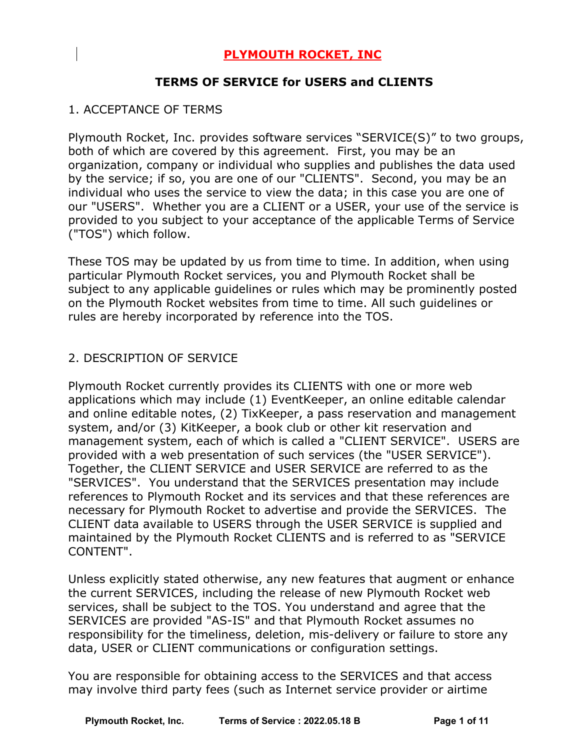# **PLYMOUTH ROCKET, INC**

### **TERMS OF SERVICE for USERS and CLIENTS**

### 1. ACCEPTANCE OF TERMS

Plymouth Rocket, Inc. provides software services "SERVICE(S)" to two groups, both of which are covered by this agreement. First, you may be an organization, company or individual who supplies and publishes the data used by the service; if so, you are one of our "CLIENTS". Second, you may be an individual who uses the service to view the data; in this case you are one of our "USERS". Whether you are a CLIENT or a USER, your use of the service is provided to you subject to your acceptance of the applicable Terms of Service ("TOS") which follow.

These TOS may be updated by us from time to time. In addition, when using particular Plymouth Rocket services, you and Plymouth Rocket shall be subject to any applicable guidelines or rules which may be prominently posted on the Plymouth Rocket websites from time to time. All such guidelines or rules are hereby incorporated by reference into the TOS.

### 2. DESCRIPTION OF SERVICE

Plymouth Rocket currently provides its CLIENTS with one or more web applications which may include (1) EventKeeper, an online editable calendar and online editable notes, (2) TixKeeper, a pass reservation and management system, and/or (3) KitKeeper, a book club or other kit reservation and management system, each of which is called a "CLIENT SERVICE". USERS are provided with a web presentation of such services (the "USER SERVICE"). Together, the CLIENT SERVICE and USER SERVICE are referred to as the "SERVICES". You understand that the SERVICES presentation may include references to Plymouth Rocket and its services and that these references are necessary for Plymouth Rocket to advertise and provide the SERVICES. The CLIENT data available to USERS through the USER SERVICE is supplied and maintained by the Plymouth Rocket CLIENTS and is referred to as "SERVICE CONTENT".

Unless explicitly stated otherwise, any new features that augment or enhance the current SERVICES, including the release of new Plymouth Rocket web services, shall be subject to the TOS. You understand and agree that the SERVICES are provided "AS-IS" and that Plymouth Rocket assumes no responsibility for the timeliness, deletion, mis-delivery or failure to store any data, USER or CLIENT communications or configuration settings.

You are responsible for obtaining access to the SERVICES and that access may involve third party fees (such as Internet service provider or airtime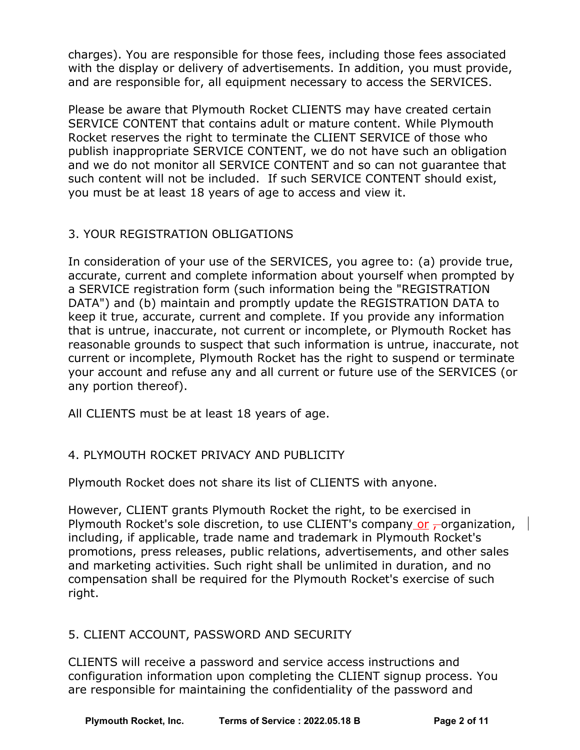charges). You are responsible for those fees, including those fees associated with the display or delivery of advertisements. In addition, you must provide, and are responsible for, all equipment necessary to access the SERVICES.

Please be aware that Plymouth Rocket CLIENTS may have created certain SERVICE CONTENT that contains adult or mature content. While Plymouth Rocket reserves the right to terminate the CLIENT SERVICE of those who publish inappropriate SERVICE CONTENT, we do not have such an obligation and we do not monitor all SERVICE CONTENT and so can not guarantee that such content will not be included. If such SERVICE CONTENT should exist, you must be at least 18 years of age to access and view it.

# 3. YOUR REGISTRATION OBLIGATIONS

In consideration of your use of the SERVICES, you agree to: (a) provide true, accurate, current and complete information about yourself when prompted by a SERVICE registration form (such information being the "REGISTRATION DATA") and (b) maintain and promptly update the REGISTRATION DATA to keep it true, accurate, current and complete. If you provide any information that is untrue, inaccurate, not current or incomplete, or Plymouth Rocket has reasonable grounds to suspect that such information is untrue, inaccurate, not current or incomplete, Plymouth Rocket has the right to suspend or terminate your account and refuse any and all current or future use of the SERVICES (or any portion thereof).

All CLIENTS must be at least 18 years of age.

# 4. PLYMOUTH ROCKET PRIVACY AND PUBLICITY

Plymouth Rocket does not share its list of CLIENTS with anyone.

However, CLIENT grants Plymouth Rocket the right, to be exercised in Plymouth Rocket's sole discretion, to use CLIENT's company or  $\tau$  organization,  $\vert$ including, if applicable, trade name and trademark in Plymouth Rocket's promotions, press releases, public relations, advertisements, and other sales and marketing activities. Such right shall be unlimited in duration, and no compensation shall be required for the Plymouth Rocket's exercise of such right.

# 5. CLIENT ACCOUNT, PASSWORD AND SECURITY

CLIENTS will receive a password and service access instructions and configuration information upon completing the CLIENT signup process. You are responsible for maintaining the confidentiality of the password and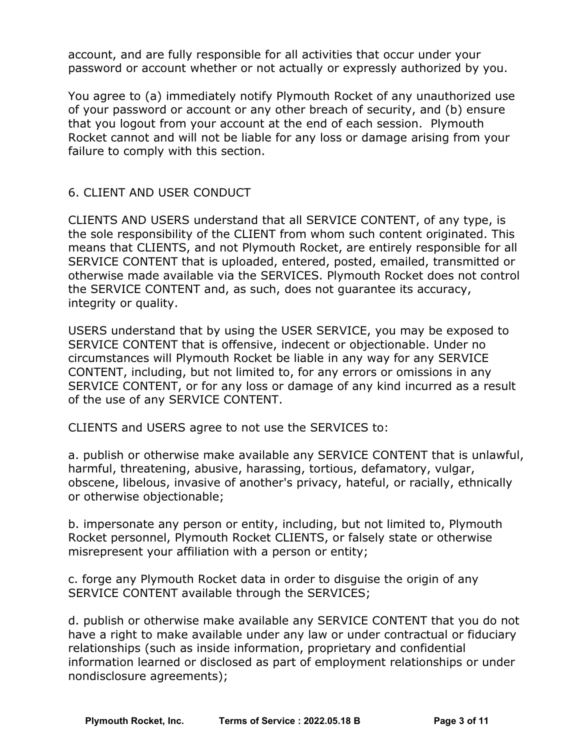account, and are fully responsible for all activities that occur under your password or account whether or not actually or expressly authorized by you.

You agree to (a) immediately notify Plymouth Rocket of any unauthorized use of your password or account or any other breach of security, and (b) ensure that you logout from your account at the end of each session. Plymouth Rocket cannot and will not be liable for any loss or damage arising from your failure to comply with this section.

# 6. CLIENT AND USER CONDUCT

CLIENTS AND USERS understand that all SERVICE CONTENT, of any type, is the sole responsibility of the CLIENT from whom such content originated. This means that CLIENTS, and not Plymouth Rocket, are entirely responsible for all SERVICE CONTENT that is uploaded, entered, posted, emailed, transmitted or otherwise made available via the SERVICES. Plymouth Rocket does not control the SERVICE CONTENT and, as such, does not guarantee its accuracy, integrity or quality.

USERS understand that by using the USER SERVICE, you may be exposed to SERVICE CONTENT that is offensive, indecent or objectionable. Under no circumstances will Plymouth Rocket be liable in any way for any SERVICE CONTENT, including, but not limited to, for any errors or omissions in any SERVICE CONTENT, or for any loss or damage of any kind incurred as a result of the use of any SERVICE CONTENT.

CLIENTS and USERS agree to not use the SERVICES to:

a. publish or otherwise make available any SERVICE CONTENT that is unlawful, harmful, threatening, abusive, harassing, tortious, defamatory, vulgar, obscene, libelous, invasive of another's privacy, hateful, or racially, ethnically or otherwise objectionable;

b. impersonate any person or entity, including, but not limited to, Plymouth Rocket personnel, Plymouth Rocket CLIENTS, or falsely state or otherwise misrepresent your affiliation with a person or entity;

c. forge any Plymouth Rocket data in order to disguise the origin of any SERVICE CONTENT available through the SERVICES;

d. publish or otherwise make available any SERVICE CONTENT that you do not have a right to make available under any law or under contractual or fiduciary relationships (such as inside information, proprietary and confidential information learned or disclosed as part of employment relationships or under nondisclosure agreements);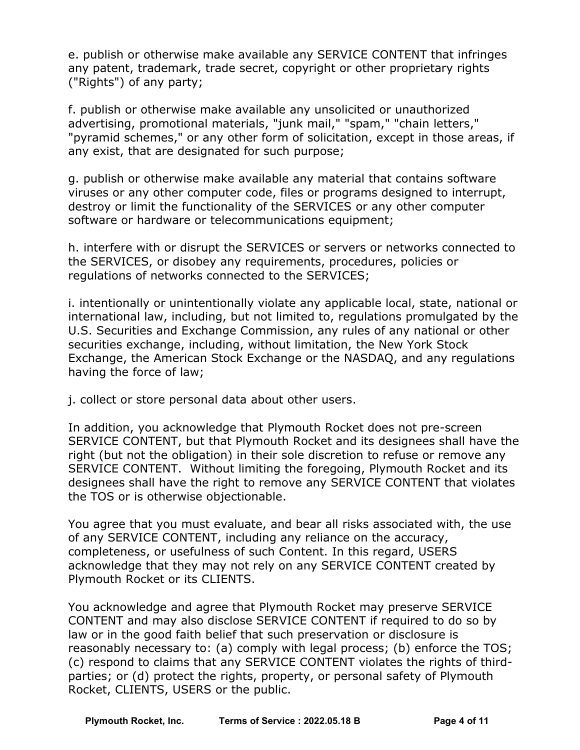e. publish or otherwise make available any SERVICE CONTENT that infringes any patent, trademark, trade secret, copyright or other proprietary rights ("Rights") of any party;

f. publish or otherwise make available any unsolicited or unauthorized advertising, promotional materials, "junk mail," "spam," "chain letters," "pyramid schemes," or any other form of solicitation, except in those areas, if any exist, that are designated for such purpose;

g. publish or otherwise make available any material that contains software viruses or any other computer code, files or programs designed to interrupt, destroy or limit the functionality of the SERVICES or any other computer software or hardware or telecommunications equipment;

h. interfere with or disrupt the SERVICES or servers or networks connected to the SERVICES, or disobey any requirements, procedures, policies or regulations of networks connected to the SERVICES;

i. intentionally or unintentionally violate any applicable local, state, national or international law, including, but not limited to, regulations promulgated by the U.S. Securities and Exchange Commission, any rules of any national or other securities exchange, including, without limitation, the New York Stock Exchange, the American Stock Exchange or the NASDAQ, and any regulations having the force of law;

j. collect or store personal data about other users.

In addition, you acknowledge that Plymouth Rocket does not pre-screen SERVICE CONTENT, but that Plymouth Rocket and its designees shall have the right (but not the obligation) in their sole discretion to refuse or remove any SERVICE CONTENT. Without limiting the foregoing, Plymouth Rocket and its designees shall have the right to remove any SERVICE CONTENT that violates the TOS or is otherwise objectionable.

You agree that you must evaluate, and bear all risks associated with, the use of any SERVICE CONTENT, including any reliance on the accuracy, completeness, or usefulness of such Content. In this regard, USERS acknowledge that they may not rely on any SERVICE CONTENT created by Plymouth Rocket or its CLIENTS.

You acknowledge and agree that Plymouth Rocket may preserve SERVICE CONTENT and may also disclose SERVICE CONTENT if required to do so by law or in the good faith belief that such preservation or disclosure is reasonably necessary to: (a) comply with legal process; (b) enforce the TOS; (c) respond to claims that any SERVICE CONTENT violates the rights of third parties; or (d) protect the rights, property, or personal safety of Plymouth Rocket, CLIENTS, USERS or the public.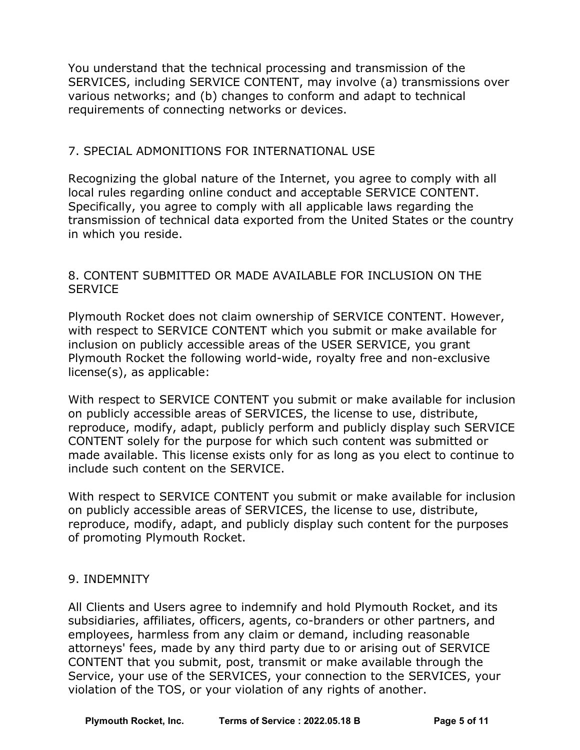You understand that the technical processing and transmission of the SERVICES, including SERVICE CONTENT, may involve (a) transmissions over various networks; and (b) changes to conform and adapt to technical requirements of connecting networks or devices.

### 7. SPECIAL ADMONITIONS FOR INTERNATIONAL USE

Recognizing the global nature of the Internet, you agree to comply with all local rules regarding online conduct and acceptable SERVICE CONTENT. Specifically, you agree to comply with all applicable laws regarding the transmission of technical data exported from the United States or the country in which you reside.

### 8. CONTENT SUBMITTED OR MADE AVAILABLE FOR INCLUSION ON THE **SERVICE**

Plymouth Rocket does not claim ownership of SERVICE CONTENT. However, with respect to SERVICE CONTENT which you submit or make available for inclusion on publicly accessible areas of the USER SERVICE, you grant Plymouth Rocket the following world-wide, royalty free and non-exclusive license(s), as applicable:

With respect to SERVICE CONTENT you submit or make available for inclusion on publicly accessible areas of SERVICES, the license to use, distribute, reproduce, modify, adapt, publicly perform and publicly display such SERVICE CONTENT solely for the purpose for which such content was submitted or made available. This license exists only for as long as you elect to continue to include such content on the SERVICE.

With respect to SERVICE CONTENT you submit or make available for inclusion on publicly accessible areas of SERVICES, the license to use, distribute, reproduce, modify, adapt, and publicly display such content for the purposes of promoting Plymouth Rocket.

### 9. INDEMNITY

All Clients and Users agree to indemnify and hold Plymouth Rocket, and its subsidiaries, affiliates, officers, agents, co-branders or other partners, and employees, harmless from any claim or demand, including reasonable attorneys' fees, made by any third party due to or arising out of SERVICE CONTENT that you submit, post, transmit or make available through the Service, your use of the SERVICES, your connection to the SERVICES, your violation of the TOS, or your violation of any rights of another.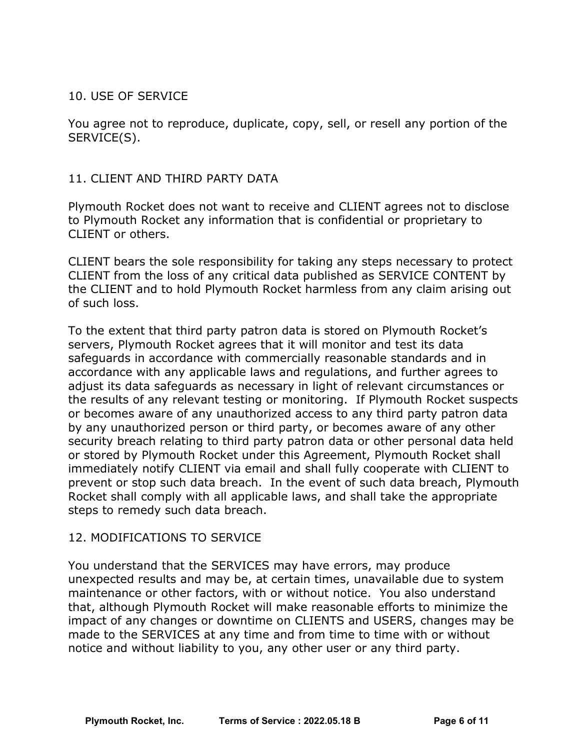### 10. USE OF SERVICE

You agree not to reproduce, duplicate, copy, sell, or resell any portion of the SERVICE(S).

### 11. CLIENT AND THIRD PARTY DATA

Plymouth Rocket does not want to receive and CLIENT agrees not to disclose to Plymouth Rocket any information that is confidential or proprietary to CLIENT or others.

CLIENT bears the sole responsibility for taking any steps necessary to protect CLIENT from the loss of any critical data published as SERVICE CONTENT by the CLIENT and to hold Plymouth Rocket harmless from any claim arising out of such loss.

To the extent that third party patron data is stored on Plymouth Rocket's servers, Plymouth Rocket agrees that it will monitor and test its data safeguards in accordance with commercially reasonable standards and in accordance with any applicable laws and regulations, and further agrees to adjust its data safeguards as necessary in light of relevant circumstances or the results of any relevant testing or monitoring. If Plymouth Rocket suspects or becomes aware of any unauthorized access to any third party patron data by any unauthorized person or third party, or becomes aware of any other security breach relating to third party patron data or other personal data held or stored by Plymouth Rocket under this Agreement, Plymouth Rocket shall immediately notify CLIENT via email and shall fully cooperate with CLIENT to prevent or stop such data breach. In the event of such data breach, Plymouth Rocket shall comply with all applicable laws, and shall take the appropriate steps to remedy such data breach.

### 12. MODIFICATIONS TO SERVICE

You understand that the SERVICES may have errors, may produce unexpected results and may be, at certain times, unavailable due to system maintenance or other factors, with or without notice. You also understand that, although Plymouth Rocket will make reasonable efforts to minimize the impact of any changes or downtime on CLIENTS and USERS, changes may be made to the SERVICES at any time and from time to time with or without notice and without liability to you, any other user or any third party.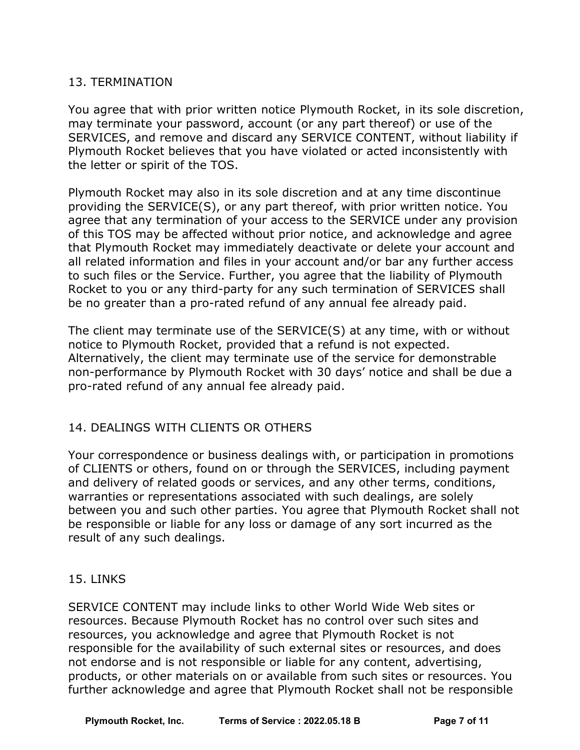# 13. TERMINATION

You agree that with prior written notice Plymouth Rocket, in its sole discretion, may terminate your password, account (or any part thereof) or use of the SERVICES, and remove and discard any SERVICE CONTENT, without liability if Plymouth Rocket believes that you have violated or acted inconsistently with the letter or spirit of the TOS.

Plymouth Rocket may also in its sole discretion and at any time discontinue providing the SERVICE(S), or any part thereof, with prior written notice. You agree that any termination of your access to the SERVICE under any provision of this TOS may be affected without prior notice, and acknowledge and agree that Plymouth Rocket may immediately deactivate or delete your account and all related information and files in your account and/or bar any further access to such files or the Service. Further, you agree that the liability of Plymouth Rocket to you or any third-party for any such termination of SERVICES shall be no greater than a pro-rated refund of any annual fee already paid.

The client may terminate use of the SERVICE(S) at any time, with or without notice to Plymouth Rocket, provided that a refund is not expected. Alternatively, the client may terminate use of the service for demonstrable non-performance by Plymouth Rocket with 30 days' notice and shall be due a pro-rated refund of any annual fee already paid.

# 14. DEALINGS WITH CLIENTS OR OTHERS

Your correspondence or business dealings with, or participation in promotions of CLIENTS or others, found on or through the SERVICES, including payment and delivery of related goods or services, and any other terms, conditions, warranties or representations associated with such dealings, are solely between you and such other parties. You agree that Plymouth Rocket shall not be responsible or liable for any loss or damage of any sort incurred as the result of any such dealings.

### 15. LINKS

SERVICE CONTENT may include links to other World Wide Web sites or resources. Because Plymouth Rocket has no control over such sites and resources, you acknowledge and agree that Plymouth Rocket is not responsible for the availability of such external sites or resources, and does not endorse and is not responsible or liable for any content, advertising, products, or other materials on or available from such sites or resources. You further acknowledge and agree that Plymouth Rocket shall not be responsible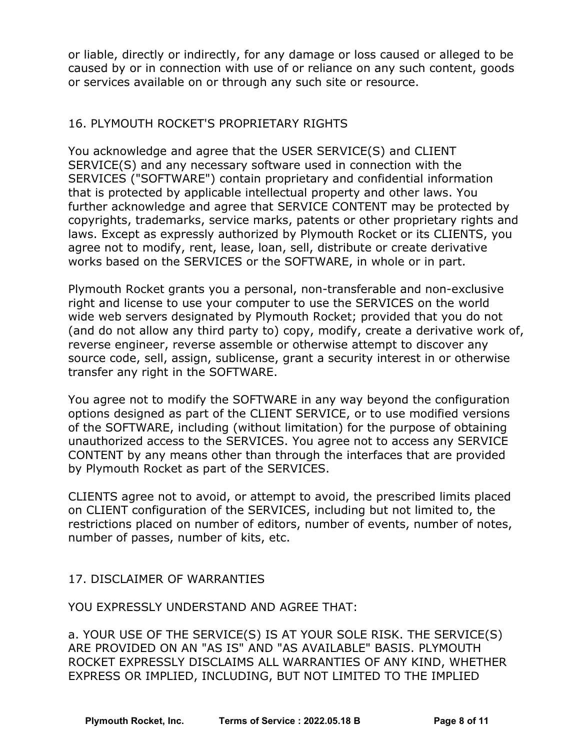or liable, directly or indirectly, for any damage or loss caused or alleged to be caused by or in connection with use of or reliance on any such content, goods or services available on or through any such site or resource.

### 16. PLYMOUTH ROCKET'S PROPRIETARY RIGHTS

You acknowledge and agree that the USER SERVICE(S) and CLIENT SERVICE(S) and any necessary software used in connection with the SERVICES ("SOFTWARE") contain proprietary and confidential information that is protected by applicable intellectual property and other laws. You further acknowledge and agree that SERVICE CONTENT may be protected by copyrights, trademarks, service marks, patents or other proprietary rights and laws. Except as expressly authorized by Plymouth Rocket or its CLIENTS, you agree not to modify, rent, lease, loan, sell, distribute or create derivative works based on the SERVICES or the SOFTWARE, in whole or in part.

Plymouth Rocket grants you a personal, non-transferable and non-exclusive right and license to use your computer to use the SERVICES on the world wide web servers designated by Plymouth Rocket; provided that you do not (and do not allow any third party to) copy, modify, create a derivative work of, reverse engineer, reverse assemble or otherwise attempt to discover any source code, sell, assign, sublicense, grant a security interest in or otherwise transfer any right in the SOFTWARE.

You agree not to modify the SOFTWARE in any way beyond the configuration options designed as part of the CLIENT SERVICE, or to use modified versions of the SOFTWARE, including (without limitation) for the purpose of obtaining unauthorized access to the SERVICES. You agree not to access any SERVICE CONTENT by any means other than through the interfaces that are provided by Plymouth Rocket as part of the SERVICES.

CLIENTS agree not to avoid, or attempt to avoid, the prescribed limits placed on CLIENT configuration of the SERVICES, including but not limited to, the restrictions placed on number of editors, number of events, number of notes, number of passes, number of kits, etc.

### 17. DISCLAIMER OF WARRANTIES

YOU EXPRESSLY UNDERSTAND AND AGREE THAT:

a. YOUR USE OF THE SERVICE(S) IS AT YOUR SOLE RISK. THE SERVICE(S) ARE PROVIDED ON AN "AS IS" AND "AS AVAILABLE" BASIS. PLYMOUTH ROCKET EXPRESSLY DISCLAIMS ALL WARRANTIES OF ANY KIND, WHETHER EXPRESS OR IMPLIED, INCLUDING, BUT NOT LIMITED TO THE IMPLIED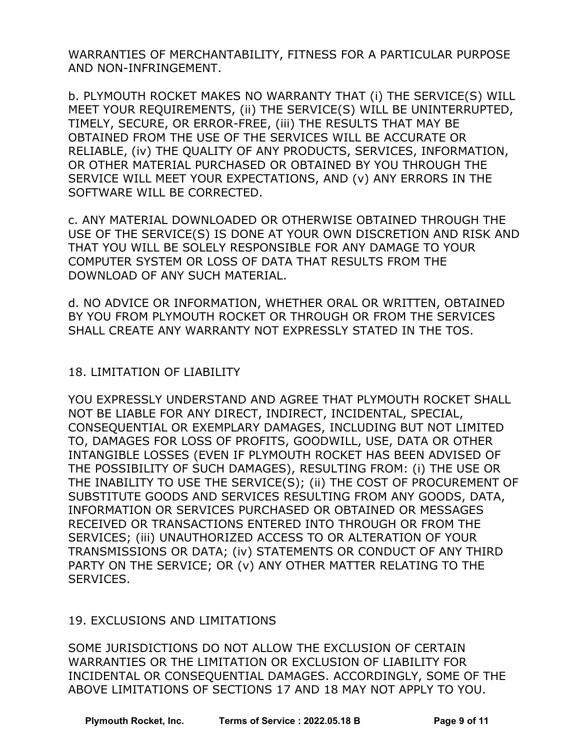WARRANTIES OF MERCHANTABILITY, FITNESS FOR A PARTICULAR PURPOSE AND NON-INFRINGEMENT.

b. PLYMOUTH ROCKET MAKES NO WARRANTY THAT (i) THE SERVICE(S) WILL MEET YOUR REQUIREMENTS, (ii) THE SERVICE(S) WILL BE UNINTERRUPTED, TIMELY, SECURE, OR ERROR-FREE, (iii) THE RESULTS THAT MAY BE OBTAINED FROM THE USE OF THE SERVICES WILL BE ACCURATE OR RELIABLE, (iv) THE QUALITY OF ANY PRODUCTS, SERVICES, INFORMATION, OR OTHER MATERIAL PURCHASED OR OBTAINED BY YOU THROUGH THE SERVICE WILL MEET YOUR EXPECTATIONS, AND (v) ANY ERRORS IN THE SOFTWARE WILL BE CORRECTED.

c. ANY MATERIAL DOWNLOADED OR OTHERWISE OBTAINED THROUGH THE USE OF THE SERVICE(S) IS DONE AT YOUR OWN DISCRETION AND RISK AND THAT YOU WILL BE SOLELY RESPONSIBLE FOR ANY DAMAGE TO YOUR COMPUTER SYSTEM OR LOSS OF DATA THAT RESULTS FROM THE DOWNLOAD OF ANY SUCH MATERIAL.

d. NO ADVICE OR INFORMATION, WHETHER ORAL OR WRITTEN, OBTAINED BY YOU FROM PLYMOUTH ROCKET OR THROUGH OR FROM THE SERVICES SHALL CREATE ANY WARRANTY NOT EXPRESSLY STATED IN THE TOS.

18. LIMITATION OF LIABILITY

YOU EXPRESSLY UNDERSTAND AND AGREE THAT PLYMOUTH ROCKET SHALL NOT BE LIABLE FOR ANY DIRECT, INDIRECT, INCIDENTAL, SPECIAL, CONSEQUENTIAL OR EXEMPLARY DAMAGES, INCLUDING BUT NOT LIMITED TO, DAMAGES FOR LOSS OF PROFITS, GOODWILL, USE, DATA OR OTHER INTANGIBLE LOSSES (EVEN IF PLYMOUTH ROCKET HAS BEEN ADVISED OF THE POSSIBILITY OF SUCH DAMAGES), RESULTING FROM: (i) THE USE OR THE INABILITY TO USE THE SERVICE(S); (ii) THE COST OF PROCUREMENT OF SUBSTITUTE GOODS AND SERVICES RESULTING FROM ANY GOODS, DATA, INFORMATION OR SERVICES PURCHASED OR OBTAINED OR MESSAGES RECEIVED OR TRANSACTIONS ENTERED INTO THROUGH OR FROM THE SERVICES; (iii) UNAUTHORIZED ACCESS TO OR ALTERATION OF YOUR TRANSMISSIONS OR DATA; (iv) STATEMENTS OR CONDUCT OF ANY THIRD PARTY ON THE SERVICE; OR (v) ANY OTHER MATTER RELATING TO THE SERVICES.

# 19. EXCLUSIONS AND LIMITATIONS

SOME JURISDICTIONS DO NOT ALLOW THE EXCLUSION OF CERTAIN WARRANTIES OR THE LIMITATION OR EXCLUSION OF LIABILITY FOR INCIDENTAL OR CONSEQUENTIAL DAMAGES. ACCORDINGLY, SOME OF THE ABOVE LIMITATIONS OF SECTIONS 17 AND 18 MAY NOT APPLY TO YOU.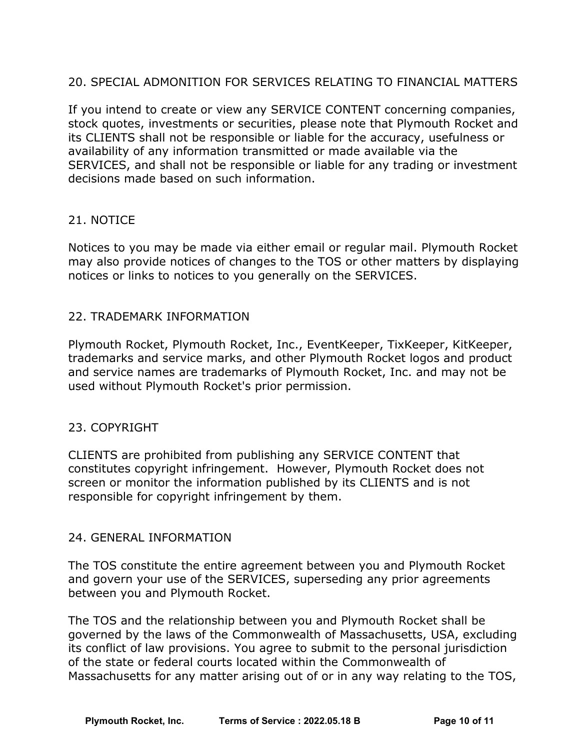# 20. SPECIAL ADMONITION FOR SERVICES RELATING TO FINANCIAL MATTERS

If you intend to create or view any SERVICE CONTENT concerning companies, stock quotes, investments or securities, please note that Plymouth Rocket and its CLIENTS shall not be responsible or liable for the accuracy, usefulness or availability of any information transmitted or made available via the SERVICES, and shall not be responsible or liable for any trading or investment decisions made based on such information.

### 21. NOTICE

Notices to you may be made via either email or regular mail. Plymouth Rocket may also provide notices of changes to the TOS or other matters by displaying notices or links to notices to you generally on the SERVICES.

#### 22. TRADEMARK INFORMATION

Plymouth Rocket, Plymouth Rocket, Inc., EventKeeper, TixKeeper, KitKeeper, trademarks and service marks, and other Plymouth Rocket logos and product and service names are trademarks of Plymouth Rocket, Inc. and may not be used without Plymouth Rocket's prior permission.

### 23. COPYRIGHT

CLIENTS are prohibited from publishing any SERVICE CONTENT that constitutes copyright infringement. However, Plymouth Rocket does not screen or monitor the information published by its CLIENTS and is not responsible for copyright infringement by them.

### 24. GENERAL INFORMATION

The TOS constitute the entire agreement between you and Plymouth Rocket and govern your use of the SERVICES, superseding any prior agreements between you and Plymouth Rocket.

The TOS and the relationship between you and Plymouth Rocket shall be governed by the laws of the Commonwealth of Massachusetts, USA, excluding its conflict of law provisions. You agree to submit to the personal jurisdiction of the state or federal courts located within the Commonwealth of Massachusetts for any matter arising out of or in any way relating to the TOS,